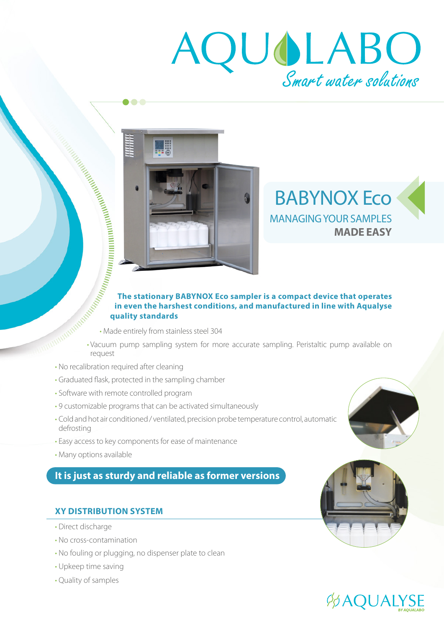# AQUOLABO



# BABYNOX Eco MANAGING YOUR SAMPLES **MADE EASY**

# **The stationary BABYNOX Eco sampler is a compact device that operates in even the harshest conditions, and manufactured in line with Aqualyse quality standards**

- Made entirely from stainless steel 304
- Vacuum pump sampling system for more accurate sampling. Peristaltic pump available on
- No recalibration required after cleaning
- Graduated flask, protected in the sampling chamber

 $\bullet$   $\bullet$   $\bullet$ 

- Software with remote controlled program
- 9 customizable programs that can be activated simultaneously
- Cold and hot air conditioned / ventilated, precision probe temperature control, automatic defrosting
- Easy access to key components for ease of maintenance
- Many options available

# **It is just as sturdy and reliable as former versions**

# **XY DISTRIBUTION SYSTEM**

- Direct discharge
- No cross-contamination
- No fouling or plugging, no dispenser plate to clean
- Upkeep time saving
- Quality of samples